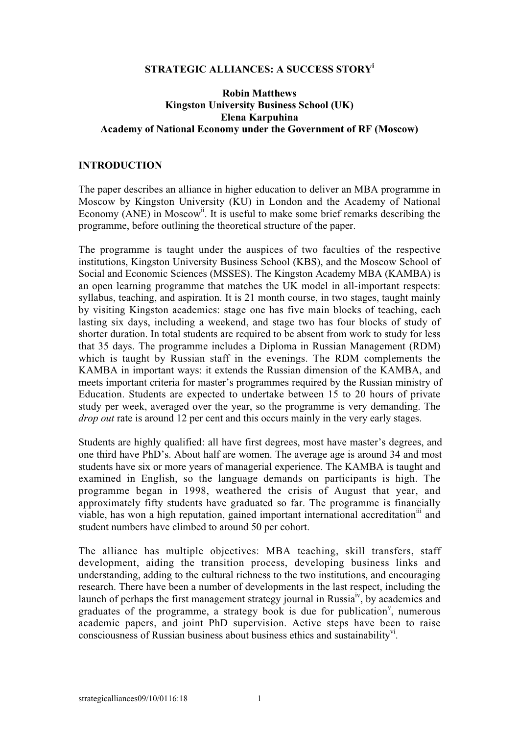## **STRATEGIC ALLIANCES: A SUCCESS STORYi**

## **Robin Matthews Kingston University Business School (UK) Elena Karpuhina Academy of National Economy under the Government of RF (Moscow)**

### **INTRODUCTION**

The paper describes an alliance in higher education to deliver an MBA programme in Moscow by Kingston University (KU) in London and the Academy of National Economy (ANE) in Moscow<sup>ii</sup>. It is useful to make some brief remarks describing the programme, before outlining the theoretical structure of the paper.

The programme is taught under the auspices of two faculties of the respective institutions, Kingston University Business School (KBS), and the Moscow School of Social and Economic Sciences (MSSES). The Kingston Academy MBA (KAMBA) is an open learning programme that matches the UK model in all-important respects: syllabus, teaching, and aspiration. It is 21 month course, in two stages, taught mainly by visiting Kingston academics: stage one has five main blocks of teaching, each lasting six days, including a weekend, and stage two has four blocks of study of shorter duration. In total students are required to be absent from work to study for less that 35 days. The programme includes a Diploma in Russian Management (RDM) which is taught by Russian staff in the evenings. The RDM complements the KAMBA in important ways: it extends the Russian dimension of the KAMBA, and meets important criteria for master's programmes required by the Russian ministry of Education. Students are expected to undertake between 15 to 20 hours of private study per week, averaged over the year, so the programme is very demanding. The *drop out* rate is around 12 per cent and this occurs mainly in the very early stages.

Students are highly qualified: all have first degrees, most have master's degrees, and one third have PhD's. About half are women. The average age is around 34 and most students have six or more years of managerial experience. The KAMBA is taught and examined in English, so the language demands on participants is high. The programme began in 1998, weathered the crisis of August that year, and approximately fifty students have graduated so far. The programme is financially viable, has won a high reputation, gained important international accreditationiii and student numbers have climbed to around 50 per cohort.

The alliance has multiple objectives: MBA teaching, skill transfers, staff development, aiding the transition process, developing business links and understanding, adding to the cultural richness to the two institutions, and encouraging research. There have been a number of developments in the last respect, including the launch of perhaps the first management strategy journal in Russia<sup>iv</sup>, by academics and graduates of the programme, a strategy book is due for publication<sup>v</sup>, numerous academic papers, and joint PhD supervision. Active steps have been to raise consciousness of Russian business about business ethics and sustainabilityvi.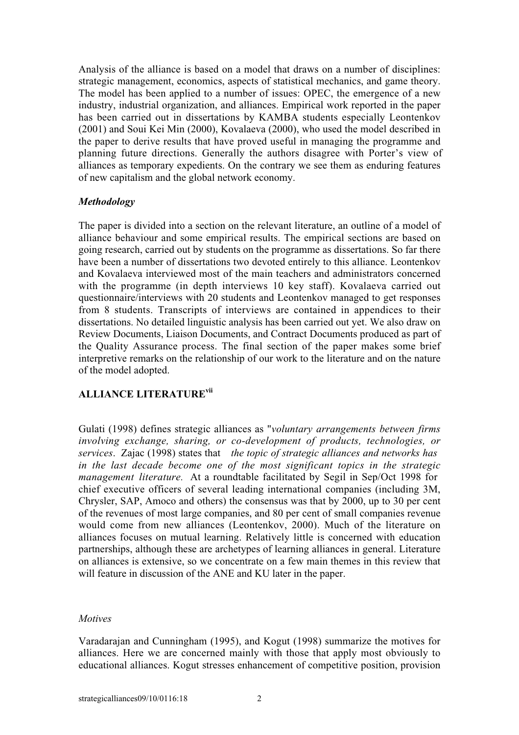Analysis of the alliance is based on a model that draws on a number of disciplines: strategic management, economics, aspects of statistical mechanics, and game theory. The model has been applied to a number of issues: OPEC, the emergence of a new industry, industrial organization, and alliances. Empirical work reported in the paper has been carried out in dissertations by KAMBA students especially Leontenkov (2001) and Soui Kei Min (2000), Kovalaeva (2000), who used the model described in the paper to derive results that have proved useful in managing the programme and planning future directions. Generally the authors disagree with Porter's view of alliances as temporary expedients. On the contrary we see them as enduring features of new capitalism and the global network economy.

## *Methodology*

The paper is divided into a section on the relevant literature, an outline of a model of alliance behaviour and some empirical results. The empirical sections are based on going research, carried out by students on the programme as dissertations. So far there have been a number of dissertations two devoted entirely to this alliance. Leontenkov and Kovalaeva interviewed most of the main teachers and administrators concerned with the programme (in depth interviews 10 key staff). Kovalaeva carried out questionnaire/interviews with 20 students and Leontenkov managed to get responses from 8 students. Transcripts of interviews are contained in appendices to their dissertations. No detailed linguistic analysis has been carried out yet. We also draw on Review Documents, Liaison Documents, and Contract Documents produced as part of the Quality Assurance process. The final section of the paper makes some brief interpretive remarks on the relationship of our work to the literature and on the nature of the model adopted.

# **ALLIANCE LITERATUREvii**

Gulati (1998) defines strategic alliances as "*voluntary arrangements between firms involving exchange, sharing, or co-development of products, technologies, or services*. Zajac (1998) states that *the topic of strategic alliances and networks has in the last decade become one of the most significant topics in the strategic management literature.* At a roundtable facilitated by Segil in Sep/Oct 1998 for chief executive officers of several leading international companies (including 3M, Chrysler, SAP, Amoco and others) the consensus was that by 2000, up to 30 per cent of the revenues of most large companies, and 80 per cent of small companies revenue would come from new alliances (Leontenkov, 2000). Much of the literature on alliances focuses on mutual learning. Relatively little is concerned with education partnerships, although these are archetypes of learning alliances in general. Literature on alliances is extensive, so we concentrate on a few main themes in this review that will feature in discussion of the ANE and KU later in the paper.

### *Motives*

Varadarajan and Cunningham (1995), and Kogut (1998) summarize the motives for alliances. Here we are concerned mainly with those that apply most obviously to educational alliances. Kogut stresses enhancement of competitive position, provision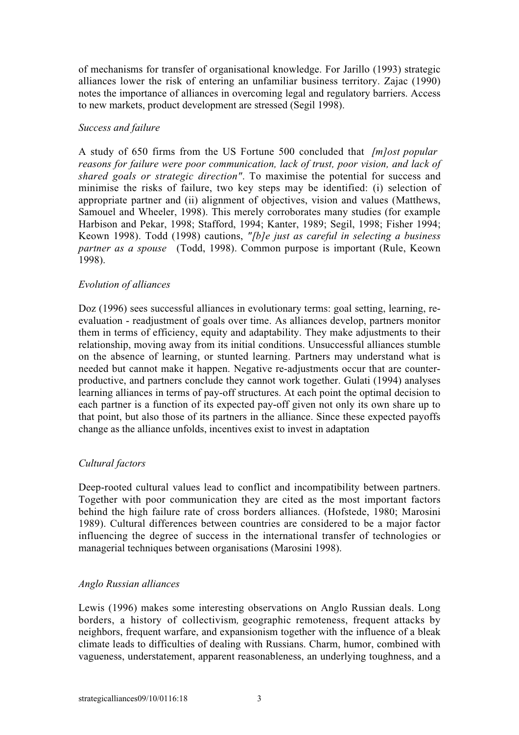of mechanisms for transfer of organisational knowledge. For Jarillo (1993) strategic alliances lower the risk of entering an unfamiliar business territory. Zajac (1990) notes the importance of alliances in overcoming legal and regulatory barriers. Access to new markets, product development are stressed (Segil 1998).

## *Success and failure*

A study of 650 firms from the US Fortune 500 concluded that *[m]ost popular reasons for failure were poor communication, lack of trust, poor vision, and lack of shared goals or strategic direction"*. To maximise the potential for success and minimise the risks of failure, two key steps may be identified: (i) selection of appropriate partner and (ii) alignment of objectives, vision and values (Matthews, Samouel and Wheeler, 1998). This merely corroborates many studies (for example Harbison and Pekar, 1998; Stafford, 1994; Kanter, 1989; Segil, 1998; Fisher 1994; Keown 1998). Todd (1998) cautions, *"[b]e just as careful in selecting a business partner as a spouse* (Todd, 1998). Common purpose is important (Rule, Keown 1998).

### *Evolution of alliances*

Doz (1996) sees successful alliances in evolutionary terms: goal setting, learning, reevaluation - readjustment of goals over time. As alliances develop, partners monitor them in terms of efficiency, equity and adaptability. They make adjustments to their relationship, moving away from its initial conditions. Unsuccessful alliances stumble on the absence of learning, or stunted learning. Partners may understand what is needed but cannot make it happen. Negative re-adjustments occur that are counterproductive, and partners conclude they cannot work together. Gulati (1994) analyses learning alliances in terms of pay-off structures. At each point the optimal decision to each partner is a function of its expected pay-off given not only its own share up to that point, but also those of its partners in the alliance. Since these expected payoffs change as the alliance unfolds, incentives exist to invest in adaptation

## *Cultural factors*

Deep-rooted cultural values lead to conflict and incompatibility between partners. Together with poor communication they are cited as the most important factors behind the high failure rate of cross borders alliances. (Hofstede, 1980; Marosini 1989). Cultural differences between countries are considered to be a major factor influencing the degree of success in the international transfer of technologies or managerial techniques between organisations (Marosini 1998).

## *Anglo Russian alliances*

Lewis (1996) makes some interesting observations on Anglo Russian deals. Long borders, a history of collectivism*,* geographic remoteness, frequent attacks by neighbors, frequent warfare, and expansionism together with the influence of a bleak climate leads to difficulties of dealing with Russians. Charm, humor, combined with vagueness, understatement, apparent reasonableness, an underlying toughness, and a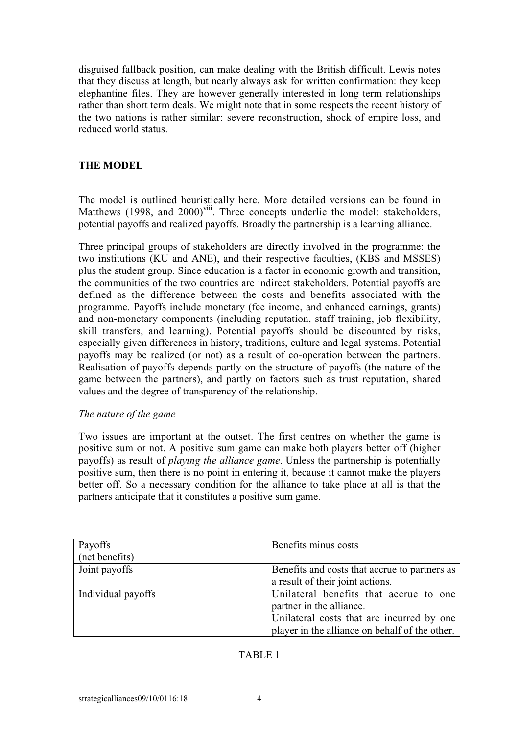disguised fallback position, can make dealing with the British difficult. Lewis notes that they discuss at length, but nearly always ask for written confirmation: they keep elephantine files. They are however generally interested in long term relationships rather than short term deals. We might note that in some respects the recent history of the two nations is rather similar: severe reconstruction, shock of empire loss, and reduced world status.

# **THE MODEL**

The model is outlined heuristically here. More detailed versions can be found in Matthews (1998, and 2000)<sup>viii</sup>. Three concepts underlie the model: stakeholders, potential payoffs and realized payoffs. Broadly the partnership is a learning alliance.

Three principal groups of stakeholders are directly involved in the programme: the two institutions (KU and ANE), and their respective faculties, (KBS and MSSES) plus the student group. Since education is a factor in economic growth and transition, the communities of the two countries are indirect stakeholders. Potential payoffs are defined as the difference between the costs and benefits associated with the programme. Payoffs include monetary (fee income, and enhanced earnings, grants) and non-monetary components (including reputation, staff training, job flexibility, skill transfers, and learning). Potential payoffs should be discounted by risks, especially given differences in history, traditions, culture and legal systems. Potential payoffs may be realized (or not) as a result of co-operation between the partners. Realisation of payoffs depends partly on the structure of payoffs (the nature of the game between the partners), and partly on factors such as trust reputation, shared values and the degree of transparency of the relationship.

## *The nature of the game*

Two issues are important at the outset. The first centres on whether the game is positive sum or not. A positive sum game can make both players better off (higher payoffs) as result of *playing the alliance game*. Unless the partnership is potentially positive sum, then there is no point in entering it, because it cannot make the players better off. So a necessary condition for the alliance to take place at all is that the partners anticipate that it constitutes a positive sum game.

| Payoffs            | Benefits minus costs                                                                                                                                              |
|--------------------|-------------------------------------------------------------------------------------------------------------------------------------------------------------------|
| (net benefits)     |                                                                                                                                                                   |
| Joint payoffs      | Benefits and costs that accrue to partners as<br>a result of their joint actions.                                                                                 |
| Individual payoffs | Unilateral benefits that accrue to one<br>partner in the alliance.<br>Unilateral costs that are incurred by one<br>player in the alliance on behalf of the other. |

## TABLE 1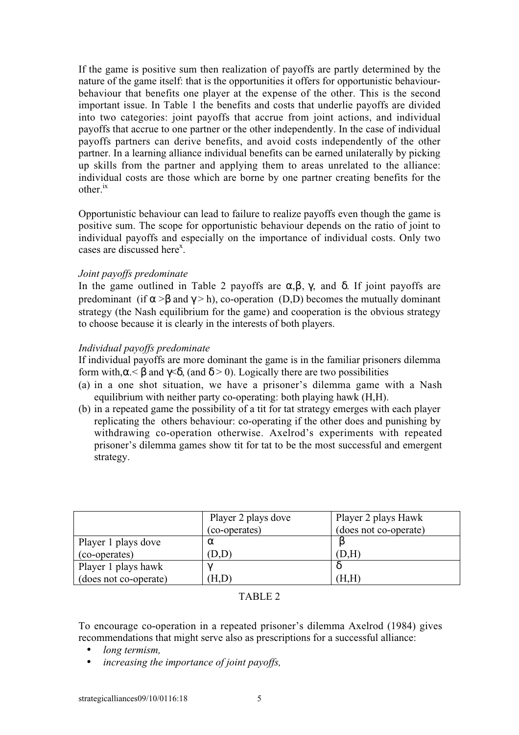If the game is positive sum then realization of payoffs are partly determined by the nature of the game itself: that is the opportunities it offers for opportunistic behaviourbehaviour that benefits one player at the expense of the other. This is the second important issue. In Table 1 the benefits and costs that underlie payoffs are divided into two categories: joint payoffs that accrue from joint actions, and individual payoffs that accrue to one partner or the other independently. In the case of individual payoffs partners can derive benefits, and avoid costs independently of the other partner. In a learning alliance individual benefits can be earned unilaterally by picking up skills from the partner and applying them to areas unrelated to the alliance: individual costs are those which are borne by one partner creating benefits for the other.ix

Opportunistic behaviour can lead to failure to realize payoffs even though the game is positive sum. The scope for opportunistic behaviour depends on the ratio of joint to individual payoffs and especially on the importance of individual costs. Only two cases are discussed here<sup>x</sup>.

## *Joint payoffs predominate*

In the game outlined in Table 2 payoffs are  $\alpha, \beta, \gamma$ , and  $\delta$ . If joint payoffs are predominant (if  $\alpha > \beta$  and  $\gamma > h$ ), co-operation (D,D) becomes the mutually dominant strategy (the Nash equilibrium for the game) and cooperation is the obvious strategy to choose because it is clearly in the interests of both players.

### *Individual payoffs predominate*

If individual payoffs are more dominant the game is in the familiar prisoners dilemma form with,  $\alpha$ .  $\beta$  and  $\gamma$ .  $\delta$ , (and  $\delta$  > 0). Logically there are two possibilities

- (a) in a one shot situation, we have a prisoner's dilemma game with a Nash equilibrium with neither party co-operating: both playing hawk (H,H).
- (b) in a repeated game the possibility of a tit for tat strategy emerges with each player replicating the others behaviour: co-operating if the other does and punishing by withdrawing co-operation otherwise. Axelrod's experiments with repeated prisoner's dilemma games show tit for tat to be the most successful and emergent strategy.

|                       | Player 2 plays dove | Player 2 plays Hawk   |
|-----------------------|---------------------|-----------------------|
|                       | (co-operates)       | (does not co-operate) |
| Player 1 plays dove   | $\alpha$            |                       |
| (co-operates)         | D.D                 | D,H                   |
| Player 1 plays hawk   | $\sim$              |                       |
| (does not co-operate) | Ή,D`                | Ή,H                   |

### TABLE 2

To encourage co-operation in a repeated prisoner's dilemma Axelrod (1984) gives recommendations that might serve also as prescriptions for a successful alliance:

- *long termism,*
- *increasing the importance of joint payoffs,*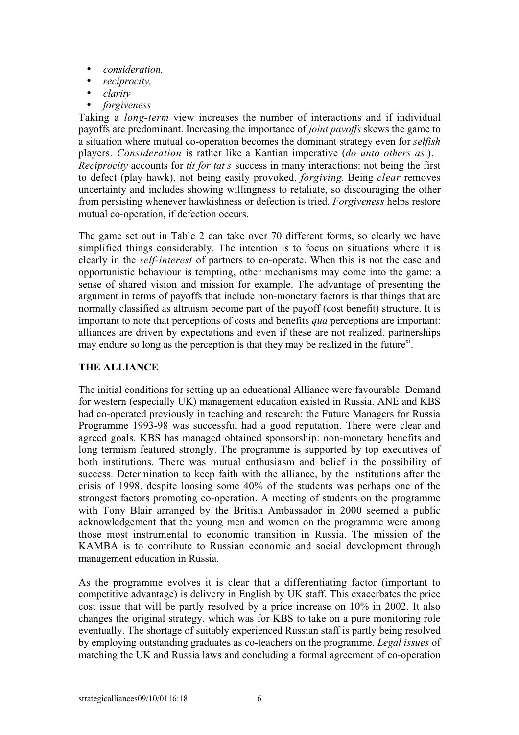- *consideration,*
- *reciprocity,*
- *clarity*
- *forgiveness*

Taking a *long-term* view increases the number of interactions and if individual payoffs are predominant. Increasing the importance of *joint payoffs* skews the game to a situation where mutual co-operation becomes the dominant strategy even for *selfish* players. *Consideration* is rather like a Kantian imperative (*do unto others as* ). *Reciprocity* accounts for *tit for tat s* success in many interactions: not being the first to defect (play hawk), not being easily provoked, *forgiving.* Being *clear* removes uncertainty and includes showing willingness to retaliate, so discouraging the other from persisting whenever hawkishness or defection is tried. *Forgiveness* helps restore mutual co-operation, if defection occurs.

The game set out in Table 2 can take over 70 different forms, so clearly we have simplified things considerably. The intention is to focus on situations where it is clearly in the *self-interest* of partners to co-operate. When this is not the case and opportunistic behaviour is tempting, other mechanisms may come into the game: a sense of shared vision and mission for example. The advantage of presenting the argument in terms of payoffs that include non-monetary factors is that things that are normally classified as altruism become part of the payoff (cost benefit) structure. It is important to note that perceptions of costs and benefits *qua* perceptions are important: alliances are driven by expectations and even if these are not realized, partnerships may endure so long as the perception is that they may be realized in the future<sup>xi</sup>.

# **THE ALLIANCE**

The initial conditions for setting up an educational Alliance were favourable. Demand for western (especially UK) management education existed in Russia. ANE and KBS had co-operated previously in teaching and research: the Future Managers for Russia Programme 1993-98 was successful had a good reputation. There were clear and agreed goals. KBS has managed obtained sponsorship: non-monetary benefits and long termism featured strongly. The programme is supported by top executives of both institutions. There was mutual enthusiasm and belief in the possibility of success. Determination to keep faith with the alliance, by the institutions after the crisis of 1998, despite loosing some 40% of the students was perhaps one of the strongest factors promoting co-operation. A meeting of students on the programme with Tony Blair arranged by the British Ambassador in 2000 seemed a public acknowledgement that the young men and women on the programme were among those most instrumental to economic transition in Russia. The mission of the KAMBA is to contribute to Russian economic and social development through management education in Russia.

As the programme evolves it is clear that a differentiating factor (important to competitive advantage) is delivery in English by UK staff. This exacerbates the price cost issue that will be partly resolved by a price increase on 10% in 2002. It also changes the original strategy, which was for KBS to take on a pure monitoring role eventually. The shortage of suitably experienced Russian staff is partly being resolved by employing outstanding graduates as co-teachers on the programme. *Legal issues* of matching the UK and Russia laws and concluding a formal agreement of co-operation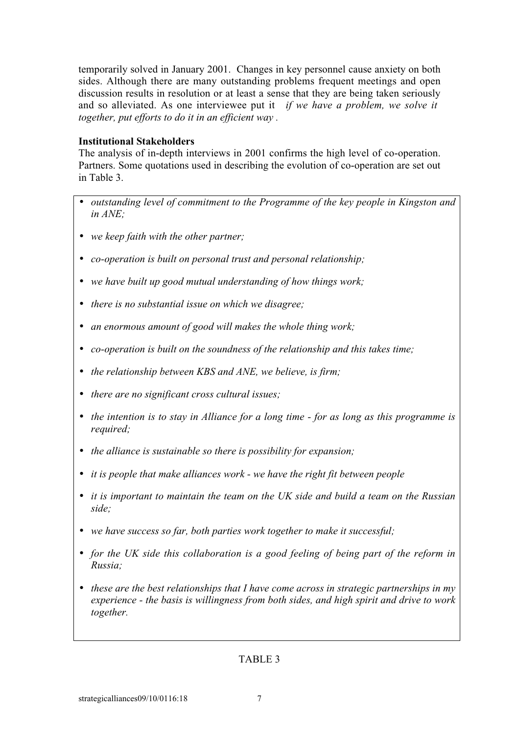temporarily solved in January 2001. Changes in key personnel cause anxiety on both sides. Although there are many outstanding problems frequent meetings and open discussion results in resolution or at least a sense that they are being taken seriously and so alleviated. As one interviewee put it *if we have a problem, we solve it together, put efforts to do it in an efficient way .*

# **Institutional Stakeholders**

The analysis of in-depth interviews in 2001 confirms the high level of co-operation. Partners. Some quotations used in describing the evolution of co-operation are set out in Table 3.

- *outstanding level of commitment to the Programme of the key people in Kingston and in ANE;*
- *we keep faith with the other partner;*
- *co-operation is built on personal trust and personal relationship;*
- *we have built up good mutual understanding of how things work;*
- *there is no substantial issue on which we disagree;*
- *an enormous amount of good will makes the whole thing work;*
- *co-operation is built on the soundness of the relationship and this takes time;*
- *the relationship between KBS and ANE, we believe, is firm;*
- *there are no significant cross cultural issues;*
- *the intention is to stay in Alliance for a long time for as long as this programme is required;*
- *the alliance is sustainable so there is possibility for expansion;*
- *it is people that make alliances work we have the right fit between people*
- *it is important to maintain the team on the UK side and build a team on the Russian side;*
- *we have success so far, both parties work together to make it successful;*
- *for the UK side this collaboration is a good feeling of being part of the reform in Russia;*
- *these are the best relationships that I have come across in strategic partnerships in my experience - the basis is willingness from both sides, and high spirit and drive to work together.*

# TABLE 3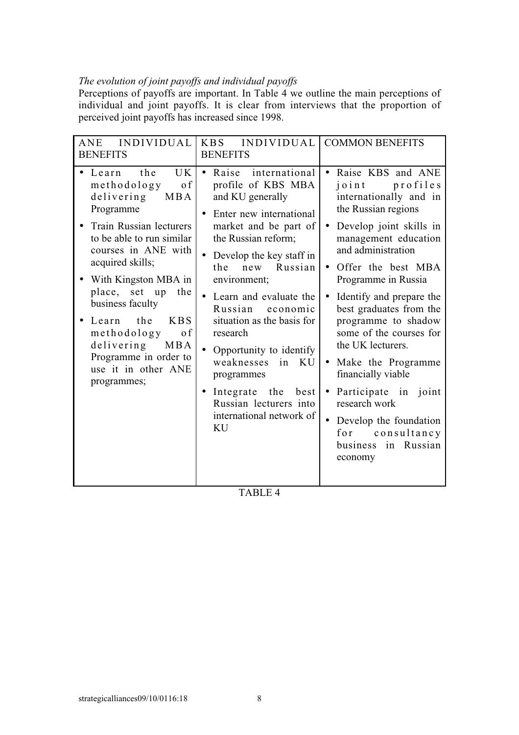# *The evolution of joint payoffs and individual payoffs*

Perceptions of payoffs are important. In Table 4 we outline the main perceptions of individual and joint payoffs. It is clear from interviews that the proportion of perceived joint payoffs has increased since 1998.

| ANE INDIVIDUAL<br><b>BENEFITS</b>                                                                                                                                                                                                                                                                                                                                                                                        | KBS INDIVIDUAL COMMON BENEFITS<br><b>BENEFITS</b>                                                                                                                                                                                                                                                                                                                                                                                                                             |                                                                                                                                                                                                                                                                                                                                                                                                                                                                                                                                                        |
|--------------------------------------------------------------------------------------------------------------------------------------------------------------------------------------------------------------------------------------------------------------------------------------------------------------------------------------------------------------------------------------------------------------------------|-------------------------------------------------------------------------------------------------------------------------------------------------------------------------------------------------------------------------------------------------------------------------------------------------------------------------------------------------------------------------------------------------------------------------------------------------------------------------------|--------------------------------------------------------------------------------------------------------------------------------------------------------------------------------------------------------------------------------------------------------------------------------------------------------------------------------------------------------------------------------------------------------------------------------------------------------------------------------------------------------------------------------------------------------|
| the<br><b>UK</b><br>Learn<br>methodology<br>0 f<br>delivering<br><b>MBA</b><br>Programme<br>Train Russian lecturers<br>to be able to run similar<br>courses in ANE with<br>acquired skills;<br>With Kingston MBA in<br>place, set up<br>the<br>business faculty<br>Learn<br>the<br><b>KBS</b><br>methodology<br><sub>of</sub><br>delivering<br><b>MBA</b><br>Programme in order to<br>use it in other ANE<br>programmes; | Raise<br>international<br>profile of KBS MBA<br>and KU generally<br>Enter new international<br>market and be part of<br>the Russian reform;<br>Develop the key staff in<br>Russian<br>the<br>new<br>environment;<br>Learn and evaluate the<br>Russian economic<br>situation as the basis for<br>research<br>Opportunity to identify<br>weaknesses<br>in<br>KU<br>programmes<br>Integrate the<br>best<br>$\bullet$<br>Russian lecturers into<br>international network of<br>KU | Raise KBS and ANE<br>profiles<br>joint<br>internationally and in<br>the Russian regions<br>Develop joint skills in<br>$\bullet$<br>management education<br>and administration<br>Offer the best MBA<br>Programme in Russia<br>Identify and prepare the<br>best graduates from the<br>programme to shadow<br>some of the courses for<br>the UK lecturers.<br>Make the Programme<br>$\bullet$<br>financially viable<br>Participate in joint<br>$\bullet$<br>research work<br>Develop the foundation<br>for consultancy<br>business in Russian<br>economy |

TABLE 4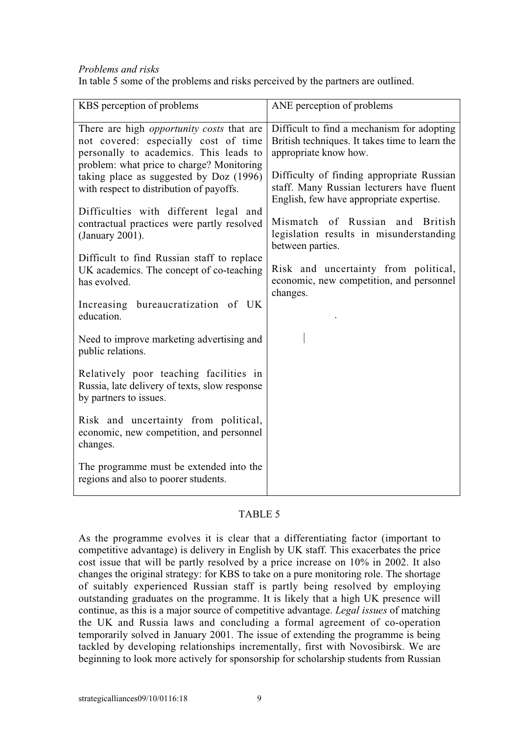## *Problems and risks*

In table 5 some of the problems and risks perceived by the partners are outlined.

| KBS perception of problems                                                                                                                                                                                                                                             | ANE perception of problems                                                                                                                                                                                      |
|------------------------------------------------------------------------------------------------------------------------------------------------------------------------------------------------------------------------------------------------------------------------|-----------------------------------------------------------------------------------------------------------------------------------------------------------------------------------------------------------------|
| There are high <i>opportunity costs</i> that are<br>not covered: especially cost of time<br>personally to academics. This leads to<br>problem: what price to charge? Monitoring<br>taking place as suggested by Doz (1996)<br>with respect to distribution of payoffs. | Difficult to find a mechanism for adopting<br>British techniques. It takes time to learn the<br>appropriate know how.<br>Difficulty of finding appropriate Russian<br>staff. Many Russian lecturers have fluent |
| Difficulties with different legal and<br>contractual practices were partly resolved<br>(January 2001).                                                                                                                                                                 | English, few have appropriate expertise.<br>Mismatch of Russian and British<br>legislation results in misunderstanding<br>between parties.                                                                      |
| Difficult to find Russian staff to replace<br>UK academics. The concept of co-teaching<br>has evolved.                                                                                                                                                                 | Risk and uncertainty from political,<br>economic, new competition, and personnel<br>changes.                                                                                                                    |
| Increasing bureaucratization of UK<br>education.                                                                                                                                                                                                                       |                                                                                                                                                                                                                 |
| Need to improve marketing advertising and<br>public relations.                                                                                                                                                                                                         |                                                                                                                                                                                                                 |
| Relatively poor teaching facilities in<br>Russia, late delivery of texts, slow response<br>by partners to issues.                                                                                                                                                      |                                                                                                                                                                                                                 |
| Risk and uncertainty from political,<br>economic, new competition, and personnel<br>changes.                                                                                                                                                                           |                                                                                                                                                                                                                 |
| The programme must be extended into the<br>regions and also to poorer students.                                                                                                                                                                                        |                                                                                                                                                                                                                 |

# TABLE 5

As the programme evolves it is clear that a differentiating factor (important to competitive advantage) is delivery in English by UK staff. This exacerbates the price cost issue that will be partly resolved by a price increase on 10% in 2002. It also changes the original strategy: for KBS to take on a pure monitoring role. The shortage of suitably experienced Russian staff is partly being resolved by employing outstanding graduates on the programme. It is likely that a high UK presence will continue, as this is a major source of competitive advantage. *Legal issues* of matching the UK and Russia laws and concluding a formal agreement of co-operation temporarily solved in January 2001. The issue of extending the programme is being tackled by developing relationships incrementally, first with Novosibirsk. We are beginning to look more actively for sponsorship for scholarship students from Russian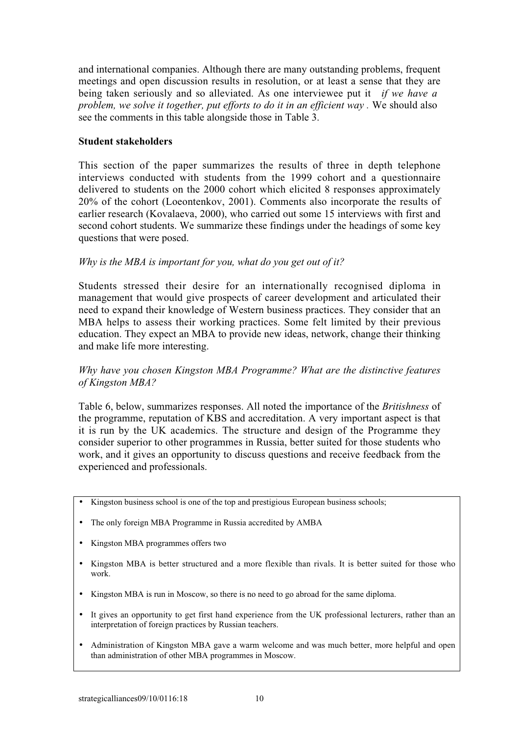and international companies. Although there are many outstanding problems, frequent meetings and open discussion results in resolution, or at least a sense that they are being taken seriously and so alleviated. As one interviewee put it *if we have a problem, we solve it together, put efforts to do it in an efficient way .* We should also see the comments in this table alongside those in Table 3.

## **Student stakeholders**

This section of the paper summarizes the results of three in depth telephone interviews conducted with students from the 1999 cohort and a questionnaire delivered to students on the 2000 cohort which elicited 8 responses approximately 20% of the cohort (Loeontenkov, 2001). Comments also incorporate the results of earlier research (Kovalaeva, 2000), who carried out some 15 interviews with first and second cohort students. We summarize these findings under the headings of some key questions that were posed.

## *Why is the MBA is important for you, what do you get out of it?*

Students stressed their desire for an internationally recognised diploma in management that would give prospects of career development and articulated their need to expand their knowledge of Western business practices. They consider that an MBA helps to assess their working practices. Some felt limited by their previous education. They expect an MBA to provide new ideas, network, change their thinking and make life more interesting.

# *Why have you chosen Kingston MBA Programme? What are the distinctive features of Kingston MBA?*

Table 6, below, summarizes responses. All noted the importance of the *Britishness* of the programme, reputation of KBS and accreditation. A very important aspect is that it is run by the UK academics. The structure and design of the Programme they consider superior to other programmes in Russia, better suited for those students who work, and it gives an opportunity to discuss questions and receive feedback from the experienced and professionals.

- Kingston business school is one of the top and prestigious European business schools;
- The only foreign MBA Programme in Russia accredited by AMBA
- Kingston MBA programmes offers two
- Kingston MBA is better structured and a more flexible than rivals. It is better suited for those who work.
- Kingston MBA is run in Moscow, so there is no need to go abroad for the same diploma.
- It gives an opportunity to get first hand experience from the UK professional lecturers, rather than an interpretation of foreign practices by Russian teachers.
- Administration of Kingston MBA gave a warm welcome and was much better, more helpful and open than administration of other MBA programmes in Moscow.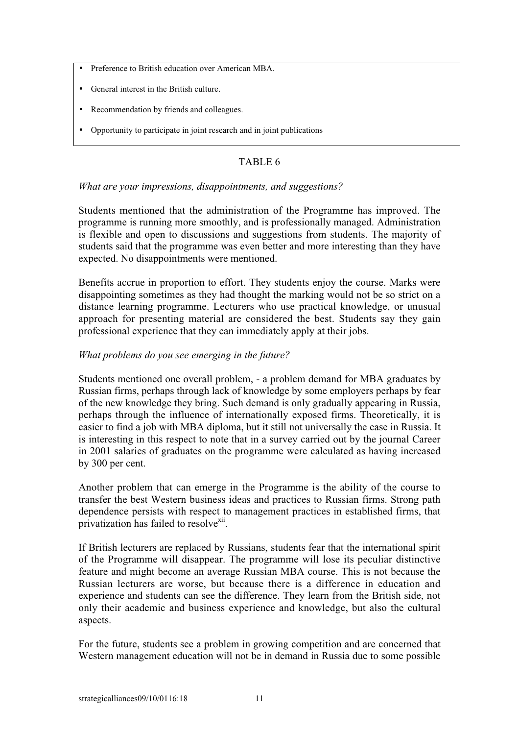- Preference to British education over American MBA.
- General interest in the British culture.
- Recommendation by friends and colleagues.
- Opportunity to participate in joint research and in joint publications

# TABLE 6

## *What are your impressions, disappointments, and suggestions?*

Students mentioned that the administration of the Programme has improved. The programme is running more smoothly, and is professionally managed. Administration is flexible and open to discussions and suggestions from students. The majority of students said that the programme was even better and more interesting than they have expected. No disappointments were mentioned.

Benefits accrue in proportion to effort. They students enjoy the course. Marks were disappointing sometimes as they had thought the marking would not be so strict on a distance learning programme. Lecturers who use practical knowledge, or unusual approach for presenting material are considered the best. Students say they gain professional experience that they can immediately apply at their jobs.

## *What problems do you see emerging in the future?*

Students mentioned one overall problem, - a problem demand for MBA graduates by Russian firms, perhaps through lack of knowledge by some employers perhaps by fear of the new knowledge they bring. Such demand is only gradually appearing in Russia, perhaps through the influence of internationally exposed firms. Theoretically, it is easier to find a job with MBA diploma, but it still not universally the case in Russia. It is interesting in this respect to note that in a survey carried out by the journal Career in 2001 salaries of graduates on the programme were calculated as having increased by 300 per cent.

Another problem that can emerge in the Programme is the ability of the course to transfer the best Western business ideas and practices to Russian firms. Strong path dependence persists with respect to management practices in established firms, that privatization has failed to resolve<sup>xii</sup>.

If British lecturers are replaced by Russians, students fear that the international spirit of the Programme will disappear. The programme will lose its peculiar distinctive feature and might become an average Russian MBA course. This is not because the Russian lecturers are worse, but because there is a difference in education and experience and students can see the difference. They learn from the British side, not only their academic and business experience and knowledge, but also the cultural aspects.

For the future, students see a problem in growing competition and are concerned that Western management education will not be in demand in Russia due to some possible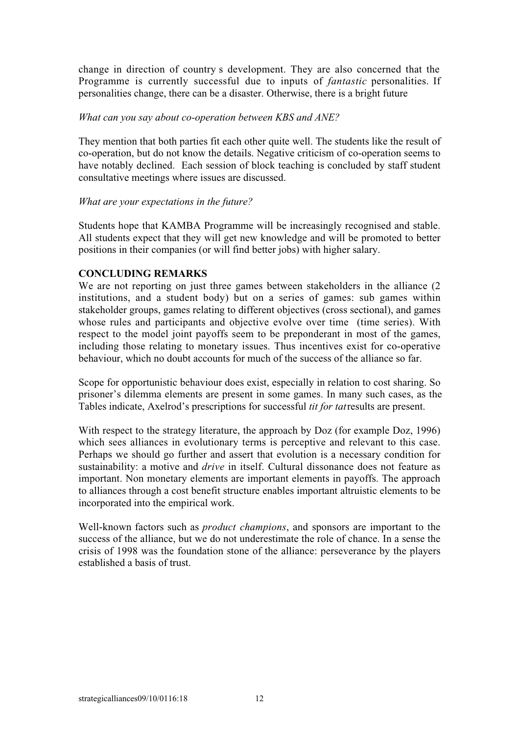change in direction of countrys development. They are also concerned that the Programme is currently successful due to inputs of *fantastic* personalities. If personalities change, there can be a disaster. Otherwise, there is a bright future

### *What can you say about co-operation between KBS and ANE?*

They mention that both parties fit each other quite well. The students like the result of co-operation, but do not know the details. Negative criticism of co-operation seems to have notably declined. Each session of block teaching is concluded by staff student consultative meetings where issues are discussed.

### *What are your expectations in the future?*

Students hope that KAMBA Programme will be increasingly recognised and stable. All students expect that they will get new knowledge and will be promoted to better positions in their companies (or will find better jobs) with higher salary.

### **CONCLUDING REMARKS**

We are not reporting on just three games between stakeholders in the alliance (2) institutions, and a student body) but on a series of games: sub games within stakeholder groups, games relating to different objectives (cross sectional), and games whose rules and participants and objective evolve over time (time series). With respect to the model joint payoffs seem to be preponderant in most of the games, including those relating to monetary issues. Thus incentives exist for co-operative behaviour, which no doubt accounts for much of the success of the alliance so far.

Scope for opportunistic behaviour does exist, especially in relation to cost sharing. So prisoner's dilemma elements are present in some games. In many such cases, as the Tables indicate, Axelrod's prescriptions for successful *tit for tat* results are present.

With respect to the strategy literature, the approach by Doz (for example Doz, 1996) which sees alliances in evolutionary terms is perceptive and relevant to this case. Perhaps we should go further and assert that evolution is a necessary condition for sustainability: a motive and *drive* in itself. Cultural dissonance does not feature as important. Non monetary elements are important elements in payoffs. The approach to alliances through a cost benefit structure enables important altruistic elements to be incorporated into the empirical work.

Well-known factors such as *product champions*, and sponsors are important to the success of the alliance, but we do not underestimate the role of chance. In a sense the crisis of 1998 was the foundation stone of the alliance: perseverance by the players established a basis of trust.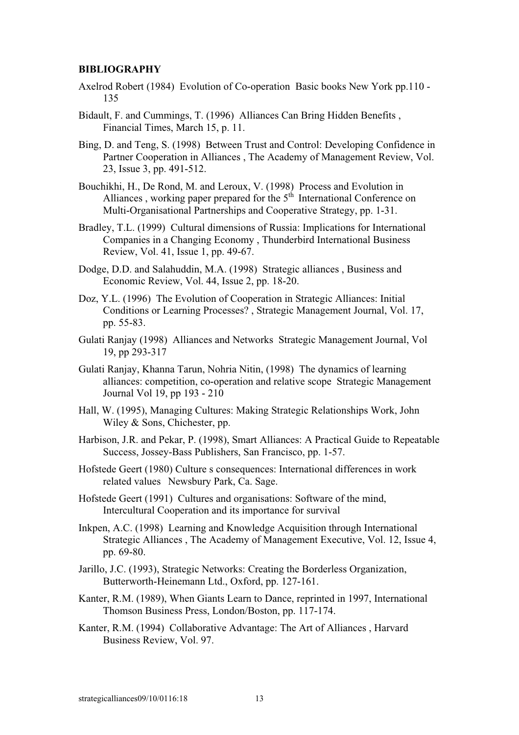#### **BIBLIOGRAPHY**

- Axelrod Robert (1984) Evolution of Co-operation Basic books New York pp.110 135
- Bidault, F. and Cummings, T. (1996) Alliances Can Bring Hidden Benefits , Financial Times, March 15, p. 11.
- Bing, D. and Teng, S. (1998) Between Trust and Control: Developing Confidence in Partner Cooperation in Alliances , The Academy of Management Review, Vol. 23, Issue 3, pp. 491-512.
- Bouchikhi, H., De Rond, M. and Leroux, V. (1998) Process and Evolution in Alliances, working paper prepared for the  $5<sup>th</sup>$  International Conference on Multi-Organisational Partnerships and Cooperative Strategy, pp. 1-31.
- Bradley, T.L. (1999) Cultural dimensions of Russia: Implications for International Companies in a Changing Economy, Thunderbird International Business Review, Vol. 41, Issue 1, pp. 49-67.
- Dodge, D.D. and Salahuddin, M.A. (1998) Strategic alliances , Business and Economic Review, Vol. 44, Issue 2, pp. 18-20.
- Doz, Y.L. (1996) The Evolution of Cooperation in Strategic Alliances: Initial Conditions or Learning Processes? , Strategic Management Journal, Vol. 17, pp. 55-83.
- Gulati Ranjay (1998) Alliances and Networks Strategic Management Journal, Vol 19, pp 293-317
- Gulati Ranjay, Khanna Tarun, Nohria Nitin, (1998) The dynamics of learning alliances: competition, co-operation and relative scope Strategic Management Journal Vol 19, pp 193 - 210
- Hall, W. (1995), Managing Cultures: Making Strategic Relationships Work, John Wiley & Sons, Chichester, pp.
- Harbison, J.R. and Pekar, P. (1998), Smart Alliances: A Practical Guide to Repeatable Success, Jossey-Bass Publishers, San Francisco, pp. 1-57.
- Hofstede Geert (1980) Culture s consequences: International differences in work related values Newsbury Park, Ca. Sage.
- Hofstede Geert (1991) Cultures and organisations: Software of the mind, Intercultural Cooperation and its importance for survival
- Inkpen, A.C. (1998) Learning and Knowledge Acquisition through International Strategic Alliances , The Academy of Management Executive, Vol. 12, Issue 4, pp. 69-80.
- Jarillo, J.C. (1993), Strategic Networks: Creating the Borderless Organization, Butterworth-Heinemann Ltd., Oxford, pp. 127-161.
- Kanter, R.M. (1989), When Giants Learn to Dance, reprinted in 1997, International Thomson Business Press, London/Boston, pp. 117-174.
- Kanter, R.M. (1994) Collaborative Advantage: The Art of Alliances , Harvard Business Review, Vol. 97.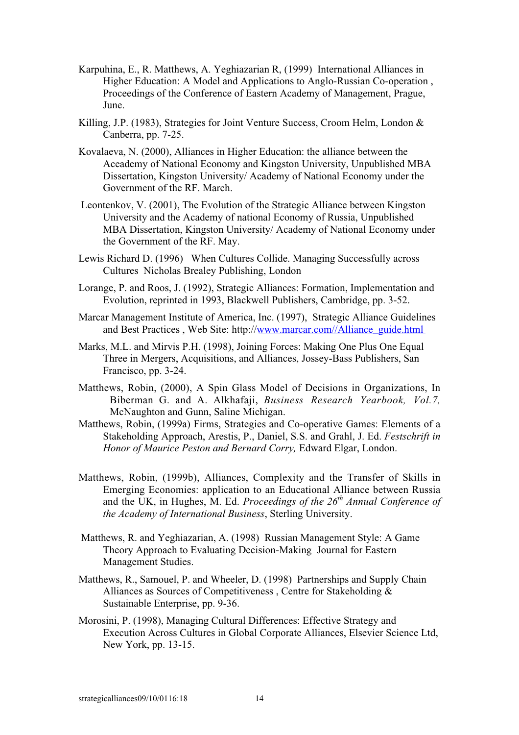- Karpuhina, E., R. Matthews, A. Yeghiazarian R, (1999) International Alliances in Higher Education: A Model and Applications to Anglo-Russian Co-operation, Proceedings of the Conference of Eastern Academy of Management, Prague, June.
- Killing, J.P. (1983), Strategies for Joint Venture Success, Croom Helm, London & Canberra, pp. 7-25.
- Kovalaeva, N. (2000), Alliances in Higher Education: the alliance between the Aceademy of National Economy and Kingston University, Unpublished MBA Dissertation, Kingston University/ Academy of National Economy under the Government of the RF. March.
- Leontenkov, V. (2001), The Evolution of the Strategic Alliance between Kingston University and the Academy of national Economy of Russia, Unpublished MBA Dissertation, Kingston University/ Academy of National Economy under the Government of the RF. May.
- Lewis Richard D. (1996) When Cultures Collide. Managing Successfully across Cultures Nicholas Brealey Publishing, London
- Lorange, P. and Roos, J. (1992), Strategic Alliances: Formation, Implementation and Evolution, reprinted in 1993, Blackwell Publishers, Cambridge, pp. 3-52.
- Marcar Management Institute of America, Inc. (1997), Strategic Alliance Guidelines and Best Practices , Web Site: http://www.marcar.com//Alliance\_guide.html
- Marks, M.L. and Mirvis P.H. (1998), Joining Forces: Making One Plus One Equal Three in Mergers, Acquisitions, and Alliances, Jossey-Bass Publishers, San Francisco, pp. 3-24.
- Matthews, Robin, (2000), A Spin Glass Model of Decisions in Organizations, In Biberman G. and A. Alkhafaji, *Business Research Yearbook, Vol.7,* McNaughton and Gunn, Saline Michigan.
- Matthews, Robin, (1999a) Firms, Strategies and Co-operative Games: Elements of a Stakeholding Approach, Arestis, P., Daniel, S.S. and Grahl, J. Ed. *Festschrift in Honor of Maurice Peston and Bernard Corry,* Edward Elgar, London.
- Matthews, Robin, (1999b), Alliances, Complexity and the Transfer of Skills in Emerging Economies: application to an Educational Alliance between Russia and the UK, in Hughes, M. Ed. *Proceedings of the 26th Annual Conference of the Academy of International Business*, Sterling University.
- Matthews, R. and Yeghiazarian, A. (1998) Russian Management Style: A Game Theory Approach to Evaluating Decision-Making Journal for Eastern Management Studies.
- Matthews, R., Samouel, P. and Wheeler, D. (1998) Partnerships and Supply Chain Alliances as Sources of Competitiveness , Centre for Stakeholding & Sustainable Enterprise, pp. 9-36.
- Morosini, P. (1998), Managing Cultural Differences: Effective Strategy and Execution Across Cultures in Global Corporate Alliances, Elsevier Science Ltd, New York, pp. 13-15.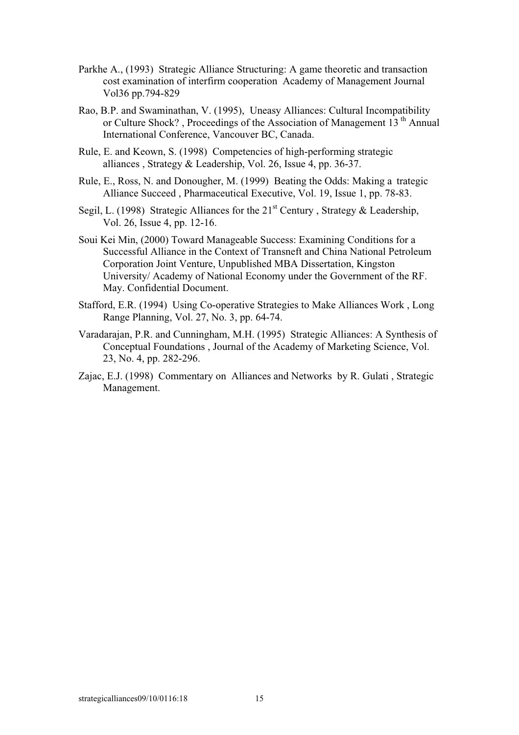- Parkhe A., (1993) Strategic Alliance Structuring: A game theoretic and transaction cost examination of interfirm cooperation Academy of Management Journal Vol36 pp.794-829
- Rao, B.P. and Swaminathan, V. (1995), Uneasy Alliances: Cultural Incompatibility or Culture Shock? , Proceedings of the Association of Management 13<sup>th</sup> Annual International Conference, Vancouver BC, Canada.
- Rule, E. and Keown, S. (1998) Competencies of high-performing strategic alliances , Strategy & Leadership, Vol. 26, Issue 4, pp. 36-37.
- Rule, E., Ross, N. and Donougher, M. (1999) Beating the Odds: Making a trategic Alliance Succeed , Pharmaceutical Executive, Vol. 19, Issue 1, pp. 78-83.
- Segil, L. (1998) Strategic Alliances for the  $21<sup>st</sup>$  Century, Strategy & Leadership, Vol. 26, Issue 4, pp. 12-16.
- Soui Kei Min, (2000) Toward Manageable Success: Examining Conditions for a Successful Alliance in the Context of Transneft and China National Petroleum Corporation Joint Venture, Unpublished MBA Dissertation, Kingston University/ Academy of National Economy under the Government of the RF. May. Confidential Document.
- Stafford, E.R. (1994) Using Co-operative Strategies to Make Alliances Work , Long Range Planning, Vol. 27, No. 3, pp. 64-74.
- Varadarajan, P.R. and Cunningham, M.H. (1995) Strategic Alliances: A Synthesis of Conceptual Foundations , Journal of the Academy of Marketing Science, Vol. 23, No. 4, pp. 282-296.
- Zajac, E.J. (1998) Commentary on Alliances and Networks by R. Gulati , Strategic Management.